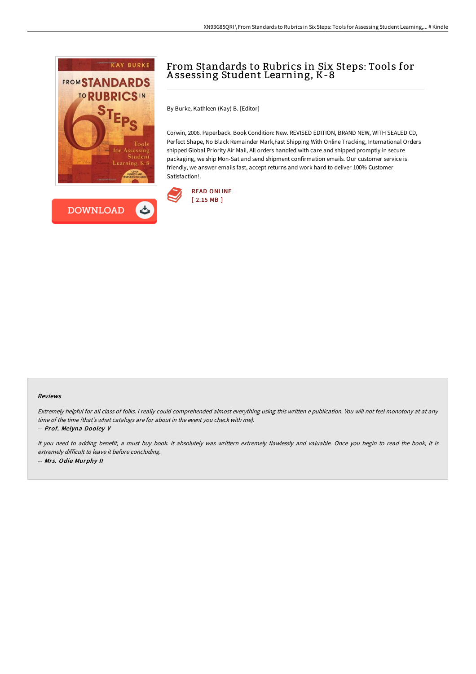



# From Standards to Rubrics in Six Steps: Tools for A ssessing Student Learning, K-8

By Burke, Kathleen (Kay) B. [Editor]

Corwin, 2006. Paperback. Book Condition: New. REVISED EDITION, BRAND NEW, WITH SEALED CD, Perfect Shape, No Black Remainder Mark,Fast Shipping With Online Tracking, International Orders shipped Global Priority Air Mail, All orders handled with care and shipped promptly in secure packaging, we ship Mon-Sat and send shipment confirmation emails. Our customer service is friendly, we answer emails fast, accept returns and work hard to deliver 100% Customer Satisfaction!.



#### Reviews

Extremely helpful for all class of folks. <sup>I</sup> really could comprehended almost everything using this written <sup>e</sup> publication. You will not feel monotony at at any time of the time (that's what catalogs are for about in the event you check with me).

-- Prof. Melyna Dooley V

If you need to adding benefit, <sup>a</sup> must buy book. it absolutely was writtern extremely flawlessly and valuable. Once you begin to read the book, it is extremely difficult to leave it before concluding. -- Mrs. Odie Murphy II